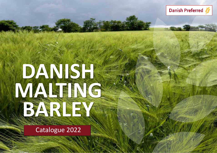

Danish Preferred

Catalogue 2022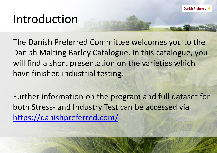# Introduction

The Danish Preferred Committee welcomes you to the Danish Malting Barley Catalogue. In this catalogue, you will find a short presentation on the varieties which have finished industrial testing.

Further information on the program and full dataset for both Stress- and Industry Test can be accessed via <https://danishpreferred.com/>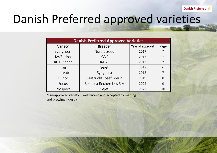Danish Preferred

# Danish Preferred approved varieties

|                   | <b>Danish Preferred Approved Varieties</b> |                  |        |  |  |  |  |  |  |  |  |  |  |
|-------------------|--------------------------------------------|------------------|--------|--|--|--|--|--|--|--|--|--|--|
| Variety           | <b>Breeder</b>                             | Year of approval | Page   |  |  |  |  |  |  |  |  |  |  |
| Evergreen         | Nordic Seed                                | 2017             | $\ast$ |  |  |  |  |  |  |  |  |  |  |
| <b>KWS Irina</b>  | <b>KWS</b>                                 | 2017             | $\ast$ |  |  |  |  |  |  |  |  |  |  |
| <b>RGT Planet</b> | <b>RAGT</b>                                | 2017             | $\ast$ |  |  |  |  |  |  |  |  |  |  |
| Flair             | Sejet                                      | 2018             | 6      |  |  |  |  |  |  |  |  |  |  |
| Laureate          | Syngenta                                   | 2018             | 7      |  |  |  |  |  |  |  |  |  |  |
| Ellinor           | Saatzucht Josef Breun                      | 2019             | 8      |  |  |  |  |  |  |  |  |  |  |
| Focus             | Secobra Recherches S.A                     | 2022             | 9      |  |  |  |  |  |  |  |  |  |  |
| Prospect          | Sejet                                      | 2022             | 10     |  |  |  |  |  |  |  |  |  |  |

\*Pre-approved variety – well known and accepted by malting and brewing industry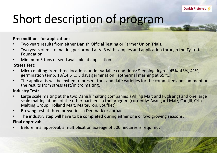# Short description of program

## **Preconditions for application:**

- Two years results from either Danish Official Testing or Farmer Union Trials.
- Two years of micro malting performed at VLB with samples and application through the Tystofte Foundation.
- Minimum 5 tons of seed available at application.

## **Stress Test:**

- Micro malting from three locations under variable conditions: Steeping degree 45%, 43%, 41%; germination temp.  $18/14,5^{\circ}$ C; 5 days germination; isothermal mashing at 65  $^{\circ}$ C.
- The applicants will be invited to present the candidate varieties for the committee and comment on the results from stress test/micro malting.

## **Industry Test:**

- Large scale malting at the two Danish malting companies (Viking Malt and Fuglsang) and one large scale malting at one of the other partners in the program (currently: Avangard Malz, Cargill, Crips Malting Group, Holland Malt, Malteurop, Soufflet)
- Brewing test at three breweries in Denmark or abroad.
- The industry step will have to be completed during either one or two growing seasons.

# **Final approval:**

Before final approval, a multiplication acreage of 500 hectares is required.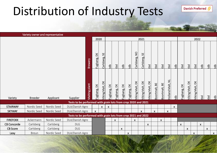# Distribution of Industry Tests

Variety owner and representative

|                    |                |             |                                                               |                  | 2020         |                        | 2021          |              |                           |                           |                           |                        |                           | 2022                      |                             |                         |              |                           |                               |                           |                           |                           |                |
|--------------------|----------------|-------------|---------------------------------------------------------------|------------------|--------------|------------------------|---------------|--------------|---------------------------|---------------------------|---------------------------|------------------------|---------------------------|---------------------------|-----------------------------|-------------------------|--------------|---------------------------|-------------------------------|---------------------------|---------------------------|---------------------------|----------------|
|                    |                |             |                                                               | Brewery          | Fuglsang, DK | 55<br>Carlsberg,       | $\frac{1}{2}$ | tbd          | tdb                       | tdb                       | Carlsberg, NO             | 5E<br>Carlsberg,       | tbd                       | tbd                       | tbd                         | tbd                     | tdb          | tbd                       | tbd                           | tbd                       | tdb                       | $\frac{1}{10}$            | $\frac{d}{dt}$ |
| Variety            | <b>Breeder</b> | Applicant   | Supplier                                                      | plant<br>Malting | Fuglsang, DK | $\geq$<br>/iking Malt, | -uglsang, DK  | Fuglsang, DK | $\leq$<br>-uglsang,       | $\geq$<br>-uglsang,       | /iking Malt, DK           | $\geq$<br>/iking Malt, | $\geq$<br>/iking Malt,    | Boortmalt, BE             | $B\mathsf{E}$<br>3oortmalt, | <b>Holland Malt, NL</b> | db           | $\geq$<br>-uglsang,       | $\geq$<br><b>Jiking Malt,</b> | $\geq$<br>Viking Malt,    | tbd                       | $\overline{5}$            | tdb            |
|                    |                |             | Tests to be performed with grain lots from crop 2020 and 2021 |                  |              |                        |               |              |                           |                           |                           |                        |                           |                           |                             |                         |              |                           |                               |                           |                           |                           |                |
| <b>STAIRWAY</b>    | Nordic Seed    | Nordic Seed | DLA/Danish Agro                                               |                  |              | X.                     | X             |              |                           |                           |                           |                        |                           |                           |                             |                         | $\mathsf{X}$ |                           |                               |                           |                           |                           |                |
| <b>SKYWAY</b>      | Nordic Seed    | Nordic Seed | DLA/Danish Agro                                               |                  | $\mathsf{x}$ |                        |               |              |                           |                           |                           | $\mathsf{x}$           |                           | $\boldsymbol{\mathsf{x}}$ |                             | $\mathsf{x}$            |              |                           |                               |                           |                           |                           |                |
|                    |                |             | Tests to be performed with grain lots from crop 2021 and 2022 |                  |              |                        |               |              |                           |                           |                           |                        |                           |                           |                             |                         |              |                           |                               |                           |                           |                           |                |
| <b>FIREFOXX</b>    | Ackermann      | Nordic Seed | DLA/Danish Agro                                               |                  |              |                        |               | $\mathsf{X}$ |                           |                           | $\boldsymbol{\mathsf{X}}$ |                        |                           |                           | $\boldsymbol{\mathsf{x}}$   |                         |              |                           |                               |                           |                           |                           |                |
| <b>CB Concorde</b> | Carlsberg      | Carlsberg   | <b>DLG</b>                                                    |                  |              |                        |               |              |                           |                           |                           |                        | $\boldsymbol{\mathsf{X}}$ |                           |                             |                         |              | $\boldsymbol{\mathsf{X}}$ |                               |                           | $\boldsymbol{\mathsf{X}}$ |                           |                |
| <b>CB Score</b>    | Carlsberg      | Carlsberg   | <b>DLG</b>                                                    |                  |              |                        |               |              | $\boldsymbol{\mathsf{x}}$ |                           |                           |                        |                           |                           |                             |                         |              |                           | $\boldsymbol{\mathsf{x}}$     |                           |                           | $\boldsymbol{\mathsf{X}}$ |                |
| Lexy               | <b>Breun</b>   | Nordic Seed | DLA/Danish Agro                                               |                  |              |                        |               |              |                           | $\boldsymbol{\mathsf{X}}$ |                           |                        |                           |                           |                             |                         |              |                           |                               | $\boldsymbol{\mathsf{X}}$ |                           |                           | $\mathsf{X}$   |

Danish Preferred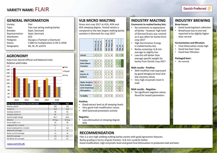## **GENERAL INFORMATION**

| Variety:        | Flair                                 |
|-----------------|---------------------------------------|
| Type:           | Two row spring malting barley         |
| Breeder:        | Sejet, Denmark                        |
| Representative: | Sejet, Denmark                        |
| Distributer:    | DLG                                   |
| Pedigree:       | Dacapo x (Tamtam x Overture)          |
| Status:         | 2.680 ha multiplication in DK in 2018 |
| Geography:      | DK, SE, PL and ES                     |
|                 |                                       |

## **AGRONOMY**

[www.sortinfo.dk](http://www.sortinfo.dk/)

Data from Danish Official and National trials. Relative yield index.



| Data from Danish National Trials 2015-2018 | Irina/Planet | <b>Flair</b> |
|--------------------------------------------|--------------|--------------|
| Relative yield %                           | 100          | 103          |
| Protein %                                  | 10,9         | 10,9         |
| Grading >2,5mm %                           | 96           | 95           |
| Grading >2,8mm %                           | 85           | 77           |
| Specific weight (hl/kg)                    | 66,7         | 66,8         |
| Maturity                                   | 03 Aug       | 02 Aug       |
| Straw length in cm                         | 59           | 58           |
| Lodging $(0-10, 1$ is best):               | 0,7          | $\mathbf{1}$ |
| Straw breaking (0-10, 1 is best)           | 3            | 2,8          |
| Mildew (% coverage)                        | $\Omega$     | $\mathbf{0}$ |
| Barley rust (% coverage)                   | 12           | 10           |
| Skald (% coverage)                         | 2,5          | 4,3          |
| Net Blotch (% coverage)                    | 1,6          | 0,1          |

# **VLB MICRO MALTING**

Stress test crop 2017 at 41%, 43% and 45% steeping degree. Tested variety is compared to the two largest malting barley varieties in Denmark for crop 2017.

|                         | <b>KWS Irina_45</b> | KWS Irina_43   | KWS Irina_41   | RGT Planet_45  | Planet_43<br>$\overline{5}$ | RGT Planet_41  | Flair_45       | Flair_43       | Flair_41       |
|-------------------------|---------------------|----------------|----------------|----------------|-----------------------------|----------------|----------------|----------------|----------------|
| <b>Extract</b>          | 3                   | 3              | 3              | 3              | 4                           | 4              | $\overline{2}$ | 3              | 1              |
|                         |                     |                |                |                |                             |                |                |                |                |
| <b>Friability</b>       | 3                   | 4              | 5              | $\overline{2}$ | 3                           | 5              | $\overline{1}$ | $\overline{2}$ | 2              |
| <b>Beta-Glucan</b>      | $\overline{2}$      | 4              | 5              | $\overline{2}$ | 3                           | 5              | $\overline{1}$ | $\overline{1}$ | $\overline{2}$ |
| <b>Viscosity</b>        | $\overline{2}$      | 3              | 5              | $\overline{1}$ | $\overline{2}$              | 4              | $\mathbf{1}$   | $\mathbf{1}$   | $\overline{1}$ |
|                         |                     |                |                |                |                             |                |                |                |                |
| <b>FAN</b>              | $\overline{2}$      | $\overline{2}$ | 3              | $\overline{2}$ | $\overline{2}$              | 3              | 3              | 3              | 2              |
| <b>Soluble N</b>        | $\overline{2}$      | $\overline{2}$ | 3              | $\overline{2}$ | $\overline{2}$              | 3              | $\overline{2}$ | $\overline{2}$ | $\overline{2}$ |
| <b>Kolbach</b>          | $\overline{2}$      | 3              | 3              | $\overline{2}$ | $\overline{2}$              | 3              | 2              | $\overline{2}$ | 2              |
|                         |                     |                |                |                |                             |                |                |                |                |
| <b>Alpha-Amylase</b>    | 4                   | 4              | 4              | 1              | $\overline{2}$              | 3              | $\overline{1}$ | $\mathbf{1}$   | $\overline{2}$ |
| <b>Beta-Amylase</b>     | $\overline{1}$      | $\mathbf{1}$   | 2              | $\overline{1}$ | $\overline{1}$              | $\mathbf{1}$   | 2              | $\overline{2}$ | 3              |
| <b>Limit Dextrinase</b> | $\overline{1}$      | $\overline{2}$ | 3              | 1              | $\overline{2}$              | $\overline{2}$ | $\mathbf{1}$   | $\mathbf{1}$   | 3              |
| <b>Attenuation</b>      | $\overline{1}$      | 2              | $\overline{2}$ | $\overline{1}$ | $\overline{1}$              | $\overline{2}$ | 2              | 4              | 3              |
|                         |                     |                |                |                |                             |                |                |                |                |
| <b>Turbidity</b>        | $\overline{1}$      | $\overline{2}$ | $\overline{1}$ | 3              | 4                           | 3              | 3              | 3              | $\overline{2}$ |

#### **Positive:**

- Good extract level at all steeping levels
- Very good malt modification values
- Well balanced proteolytic activity

#### **Negative:**

• Low attenuation at steeping degree 43%

## **RECOMMENDATION**

Flair is a very high yielding malting barley variety with good agronomic features.

Barley grading in terms of grain fraction >2,8 mm could be better.

Good modification, high enzymatic level and good Final Attenuation in produced malt and beer.

# **INDUSTRY MALTING**

#### **Comments to malted barley lots:**

- No comments to appearance of barley – however high level of Skinned Grains was noticed as it was often for barley from crop 2017
- High Germination Energy in malted barley lots
- Barley screening >2,8 mm average to slightly low
- Low but still better than average specific weight for barley from Danish crop 2017

#### **Malt results - Positive:**

- Well modified malt expressed by good betaglucan level and low viscosity values
- Very high enzymatic level in malt

#### **Malt results - Negative:**

• No significant negative values found for tested parameters

## **INDUSTRY BREWING**

#### **Brew house:**

- Good lautering/wort collection
- Brewhouse loss in one test reported to be slightly higher than normal

#### **Fermentation and filtration:**

- Final Attenuation nicely high
- Good low beer haze
- Good beer filtration

#### **Packaged beer:**

• As normal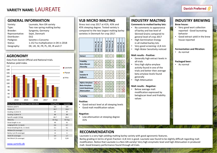# **VARIETY NAME:** LAUREATE

### **GENERAL INFORMATION**

| Variety:        | Laureate, Non GN variety              |
|-----------------|---------------------------------------|
| Type:           | Two row spring malting barley         |
| Breeder:        | Syngenta, Germany                     |
| Representative: | Sejet, Denmark                        |
| Distributer:    | <b>DLG</b>                            |
| Pedigree:       | Sanette x Concerto                    |
| Status:         | 1.152 ha multiplication in DK in 2018 |
| Geography:      | DK, UK, SE, FR, PL, DE, IR and LT     |
|                 |                                       |

## **AGRONOMY**

Data from Danish Official and National trials. Relative yield index.



| Data from Danish National Trials 2014-2018 | Irina/Planet | Laureate    |
|--------------------------------------------|--------------|-------------|
| Relative yield %                           | 101          | 104         |
| Protein %                                  | 10,7         | 10,6        |
| Grading >2,5mm %                           | 97           | 97          |
| Grading >2,8mm %                           | 86           | 89          |
| Specific weight (hl/kg)                    | 66,7         | 66,4        |
| Maturity                                   | 02 Aug       | 02 Aug      |
| Straw length in cm                         | 60           | 61          |
| Lodging $(0-10, 1$ is best):               | 0,6          | 0,7         |
| Straw breaking (0-10, 1 is best)           | 3,1          | 4,1         |
| Mildew (% coverage)                        | $\mathbf{0}$ | $\mathbf 0$ |
| Barley rust (% coverage)                   | 12           | 6           |
| Skald (% coverage)                         | 3,4          | 1,7         |
| Net Blotch (% coverage)                    | 1,3          | 0,04        |

# **VLB MICRO MALTING**

Stress test crop 2017 at 41%, 43% and 45% steeping degree. Tested variety is compared to the two largest malting barley varieties in Denmark for crop 2017.

|                         | 4 <sup>2</sup><br>KWS Irina | KWS Irina_43   | a<br>KWS Irina | Planet_45<br>RGT | Planet_43<br><b>RGT</b> | Planet_41<br>RGT | Laureate <sub>45</sub> | Laureate_43    | Laureate_41    |
|-------------------------|-----------------------------|----------------|----------------|------------------|-------------------------|------------------|------------------------|----------------|----------------|
| <b>Extract</b>          | 3                           | 3              | 3              | 3                | 4                       | $\overline{4}$   | $\overline{1}$         | $\overline{1}$ | 3              |
|                         |                             |                |                |                  |                         |                  |                        |                |                |
| <b>Friability</b>       | 3                           | 4              | 5              | $\overline{2}$   | 3                       | 5                | $\overline{2}$         | 3              | 5              |
| <b>Beta-Glucan</b>      | $\overline{2}$              | 4              | 5              | $\overline{2}$   | 3                       | 5                | $\overline{2}$         | 3              | 5              |
| <b>Viscosity</b>        | $\overline{2}$              | 3              | 5              | $\overline{1}$   | $\overline{2}$          | 4                | $\overline{1}$         | $\overline{2}$ | 3              |
|                         |                             |                |                |                  |                         |                  |                        |                |                |
| <b>FAN</b>              | $\overline{2}$              | $\overline{2}$ | 3              | $\overline{2}$   | $\overline{2}$          | 3                | 3                      | 3              | 3              |
| Soluble N               | $\overline{2}$              | $\overline{2}$ | 3              | $\overline{2}$   | $\overline{2}$          | 3                | $\overline{2}$         | $\overline{2}$ | 3              |
| Kolbach                 | $\overline{\phantom{a}}$    | 3              | 3              | $\overline{2}$   | $\overline{2}$          | 3                | $\overline{2}$         | $\overline{2}$ | 3              |
|                         |                             |                |                |                  |                         |                  |                        |                |                |
| Alpha-Amylase           | $\overline{4}$              | 4              | 4              | $\overline{1}$   | $\overline{2}$          | 3                | $\mathbf{1}$           | $\overline{2}$ | 3              |
| <b>Beta-Amylase</b>     | $\overline{1}$              | $\overline{1}$ | $\overline{2}$ | $\mathbf{1}$     | $\overline{1}$          | $\overline{1}$   | $\overline{2}$         | $\overline{2}$ | $\overline{2}$ |
| <b>Limit Dextrinase</b> | $\overline{1}$              | $\overline{2}$ | 3              | 1                | $\overline{2}$          | $\overline{2}$   | $\overline{2}$         | 3              | 4              |
| <b>Attenuation</b>      | $\overline{1}$              | $\overline{2}$ | $\overline{2}$ | $\overline{1}$   | $\overline{1}$          | $\overline{2}$   | $\overline{1}$         | $\mathbf{1}$   | 5              |
|                         |                             |                |                |                  |                         |                  |                        |                |                |
| <b>Turbidity</b>        | $\mathbf{1}$                | $\overline{2}$ | $\mathbf{1}$   | 3                | 4                       | 3                | $\overline{2}$         | $\overline{2}$ | $\mathbf{1}$   |

#### **Positive:**

- Good extract level at all steeping levels
- Good malt modification values

#### **Negative:**

• Low attenuation at steeping degree 41%

**RECOMMENDATION**

# **INDUSTRY MALTING**

#### **Comments to malted barley lots:**

- No comments to appearance of barley and low level of Skinned Grains compared to general level of crop 2017
- High Germination Energy in all malted barley lots
- Very good screening >2,8 mm
- High Water Sensitivity noticed

#### **Malt results - Positive:**

- Generally high extract levels in all trials
- Very high alpha-amylase activity found in one of the trials and better then average beta amylase levels found generally
- High Attenuation

#### **Malt results - Negative:**

• Below average malt modification expressed by betaglucan level and friability values

## **INDUSTRY BREWING**

#### **Brew house:**

- Very good wort collection reported - Good laureating behavior
- Good extract yield in the brew house reported

#### **Fermentation and filtration:**

• As normal

#### **Packaged beer:**

• As normal

#### [www.sortinfo.dk](http://www.sortinfo.dk/)

#### Laureate is a very high yielding malting barley variety with good agronomic features. Barley grading in terms of grain fraction >2,8 mm is good. Laureate was found to be slightly difficult regarding malt modification. Notice that Laureate is a Non-GN variety! Very high enzymatic level and high Attenuation in produced malt. Good brewery performance found through all trials.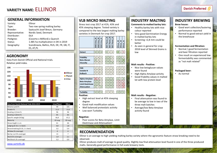# **VARIETY NAME:** ELLINOR

## **GENERAL INFORMATION**

| Variety:        | Ellinor                                    |
|-----------------|--------------------------------------------|
| Type:           | Two row spring malting barley              |
| Breeder:        | Saatzucht Josef Breun, Germany             |
| Representative: | Nordic Seed, Denmark                       |
| Distributer:    | DI A                                       |
| Pedigree:       | (Cocerto x Milford) x Quench               |
| Status:         | 1.485 ha multiplication in DK in 2019      |
| Geography:      | Scandinavia, Baltics, RUS, DE, FR, GB, IT, |
|                 | ES, AT, PL                                 |

## **AGRONOMY**

Data from Danish Official and National trials. Relative yield index.



| Data from Danish National Trials 2016-2019 | Irina/Planet | <b>Ellinor</b> |  |
|--------------------------------------------|--------------|----------------|--|
| Relative yield %                           | 99           | 101            |  |
| Protein %                                  | 11,5         | 11,6           |  |
| Grading >2,5mm %                           | 96           | 96             |  |
| Grading >2,8mm %                           | 85           | 83             |  |
| Specific weight (hl/kg)                    | 66,9         | 67,2           |  |
| Maturity                                   | $02$ -aug    | $02$ -aug      |  |
| Straw length in cm                         | 61           | 66             |  |
| Lodging $(0-10, 1$ is best):               | 0,8          | 1,8            |  |
| Straw breaking (0-10, 1 is best)           | 3,5          | 5,4            |  |
| Mildew (% coverage)                        | $\mathbf{0}$ | $\mathbf 0$    |  |
| Barley rust (% coverage)                   | 13           | $\overline{7}$ |  |
| Skald (% coverage)                         | 1,9          | 2,1            |  |
| Net Blotch (% coverage)                    | 3,3          | 0,9            |  |

## **VLB MICRO MALTING**

Stress test crop 2017 at 41%, 43% and 45% steeping degree. Tested variety is compared to the two largest malting barley varieties in Denmark for crop 2017.

|                         | KWS Irina_45   | 43<br>KWS Irina_ | $\ddot{a}$<br>KWS Irina | Planet_45<br><b>RGT</b> | Planet_43<br>RGT | $\ddot{a}$<br>Planet<br><b>RGT</b> | Ellinor_45     | Ellinor_43     | Ellinor_41     |
|-------------------------|----------------|------------------|-------------------------|-------------------------|------------------|------------------------------------|----------------|----------------|----------------|
|                         |                |                  |                         |                         |                  |                                    |                |                |                |
| <b>Extract</b>          | 3              | 3                | 3                       | 3                       | 4                | 4                                  | $\overline{2}$ | 4              | 5              |
|                         |                |                  |                         |                         |                  |                                    |                |                |                |
| <b>Friability</b>       | 3              | 4                | 5                       | $\overline{2}$          | 3                | 5                                  | $\overline{2}$ | 3              | 5              |
| <b>Beta-Glucan</b>      | $\overline{2}$ | 4                | 5                       | $\overline{2}$          | 3                | 5                                  | $\overline{2}$ | 3              | $\overline{4}$ |
| <b>Viscosity</b>        | $\overline{2}$ | 3                | 5                       | $\overline{1}$          | $\overline{2}$   | 4                                  | $\overline{2}$ | $\overline{2}$ | 4              |
|                         |                |                  |                         |                         |                  |                                    |                |                |                |
| <b>FAN</b>              | $\overline{2}$ | $\overline{2}$   | 3                       | $\overline{2}$          | $\overline{2}$   | 3                                  | $\overline{2}$ | $\overline{2}$ | 3              |
| Soluble N               | $\overline{2}$ | $\overline{2}$   | 3                       | $\overline{2}$          | $\overline{2}$   | 3                                  | $\overline{2}$ | $\overline{2}$ | 3              |
| <b>Kolbach</b>          | $\overline{2}$ | 3                | 3                       | $\overline{2}$          | $\overline{2}$   | 3                                  | $\overline{2}$ | $\overline{2}$ | 3              |
|                         |                |                  |                         |                         |                  |                                    |                |                |                |
| Alpha-Amylase           | $\overline{4}$ | $\overline{4}$   | $\overline{4}$          | $\overline{1}$          | $\overline{2}$   | 3                                  | $\mathbf{1}$   | 3              | 3              |
| <b>Beta-Amylase</b>     | $\mathbf{1}$   | $\mathbf{1}$     | $\overline{2}$          | $\mathbf{1}$            | $\overline{1}$   | $\mathbf{1}$                       | 3              | 3              | 3              |
| <b>Limit Dextrinase</b> | $\overline{1}$ | $\overline{2}$   | 3                       | $\overline{1}$          | $\overline{2}$   | $\overline{2}$                     | 3              | 4              | 5              |
| <b>Attenuation</b>      | $\overline{1}$ | $\overline{2}$   | $\overline{2}$          | $\overline{1}$          | $\overline{1}$   | $\overline{2}$                     | 3              | 3              | 5              |
|                         |                |                  |                         |                         |                  |                                    |                |                |                |
| <b>Turbidity</b>        | 1              | $\overline{2}$   | $\overline{1}$          | 3                       | 4                | 3                                  | 1              | $\overline{2}$ | $\overline{1}$ |

#### **Positive:**

- High extract level at 45% steeping degree
- Good malt modification values
- Well balanced proteolytic activity
- Low wort Turbidity

#### **Negative:**

• Poor scores for Beta-Amylase, Limit Dextrinase and Attenuation!

## **RECOMMENDATION**

## **INDUSTRY MALTING**

#### **Comments to malted barley lots:**

- Healthy barley lots with nice colour reported
- Very good Germination Energy in malted barley lots
- Screening >2,8 mm could be better
- As seen in general for crop 2018 level of Skinned Grains is low

#### **Malt results - Positive:**

- Nice low betaglucan values were found
- High Alpha-Amylase activity
- Good friability values in malted lot with low protein level

#### **Malt results - Negative:**

- Final attenuation was found to be average to low in two of the three malt batches
- Average/low Beta-Amylase activity found

## **INDUSTRY BREWING**

#### **Brew house:**

- Good wort collection/lautering performance reported
- Normal to good extract yield in the brewhouse

#### **Fermentation and filtration:**

- Normal / good fermentation and beer filtration reported
- One result on experienced low fermentability was commented as "not malt related"

#### **Packaged beer:**

• As normal

#### [www.sortinfo.dk](http://www.sortinfo.dk/)

# Ellinor is an average to high yielding malting barley variety where the agronomic feature straw breaking need to be

observed.

Ellinor produces malt of average to good quality. Slightly low final attenuation level found in one of the three produced malts. Generally good performance in full-scale brewery tests.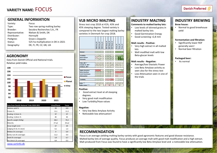# **VARIETY NAME:** FOCUS

### **GENERAL INFORMATION**

# Variety: Focus Distributer: Hornsyld

Type: Two row spring malting barley Breeder: Secobra Recherches S.A., FR Representative: Nielsen & Smith, DK Pedigree: Graze x Zeppelin Status: 525 ha multiplication in DK in 2021 Geography: DK, FI, FR, CZ, GB, UA

## **AGRONOMY**

Data from Danish Official and National trials. Relative yield index.



| Data from Danish National Trials 2018-2021 | Irina/Planet | <b>Focus</b> |
|--------------------------------------------|--------------|--------------|
| Relative yield %                           | 99           | 101          |
| Protein %                                  | 11,1         | 11,3         |
| Grading >2,5mm %                           | 97           | 97           |
| Grading >2,8mm %                           | 85           | 83           |
| Specific weight (hl/kg)                    | 68,3         | 70,3         |
| Maturity                                   | $27$ -jul    | $26$ -jul    |
| Straw length (cm)                          | 67           | 69           |
| Lodging (0-10, 0 is best)                  | 0,1          | 1,3          |
| Mildew (% coverage)                        | $\mathbf 0$  | 0,9          |
| Barley rust (% coverage)                   | 11,3         | 4,4          |
| Skald (% coverage)                         | 3,9          | 0,7          |
| Net blotch (% coverage)                    | 8,4          | 0,3          |

**VLB MICRO MALTING** 

Stress test crop 2018 at 41%, 43% and 45% steeping degree. Tested variety is compared to the two largest malting barley varieties in Denmark for crop 2018.

|                         | KWS Irina_45             | KWS Irina_43   | KWS Irina_41   | RGT Planet_45            | RGT Planet_43           | RGT Planet_41            | Focus_45       | Focus $-43$             | Focus $-41$    |
|-------------------------|--------------------------|----------------|----------------|--------------------------|-------------------------|--------------------------|----------------|-------------------------|----------------|
| <b>Extract</b>          | 4                        | 4              | $\overline{4}$ | $\overline{4}$           | $\overline{4}$          | $\overline{4}$           | $\overline{2}$ | $\overline{a}$          | $\overline{a}$ |
| Friability              | 4                        | 4              | 5              | $\overline{3}$           | $\overline{\mathbf{A}}$ | 5                        | $\overline{2}$ | $\overline{\mathbf{3}}$ | $\overline{3}$ |
| <b>Beta-Glucan</b>      | 4                        | 5              | 5              | $\overline{2}$           | 4                       | $\overline{4}$           | $\overline{1}$ | 1                       | $\overline{2}$ |
| <b>Viscosity</b>        | 3                        | $\overline{a}$ | 5              | $\overline{\phantom{a}}$ | $\overline{a}$          | $\overline{4}$           | $\overline{1}$ | 1                       | $\mathbf{1}$   |
|                         |                          |                |                |                          |                         |                          |                |                         |                |
| FAN, diff. *            | 3                        | 5              | 8              | $-2$                     | $-3$                    | $\mathbf{1}$             | 3              | $\Omega$                | $-2$           |
| Soluble N, diff.*       | 20                       | 25             | 45             | 5                        | 5                       | 30                       | 40             | 15                      | 5              |
| Kolback, diff.*         | $\mathbf{1}$             | $\mathbf{1}$   | $\overline{2}$ | $-1$                     | $\Omega$                | $\overline{\phantom{a}}$ | $\Omega$       | $-1$                    | $-1$           |
|                         |                          |                |                |                          |                         |                          |                |                         |                |
| Alpha-Amylase           | 5                        | 5              | $\overline{a}$ | $\overline{1}$           | $\overline{1}$          | $\overline{3}$           | $\overline{2}$ | $\overline{a}$          | $\overline{2}$ |
| <b>Beta-Amylase</b>     | $\mathbf{1}$             | $\overline{1}$ | $\overline{1}$ | $\overline{\phantom{a}}$ | $\mathbf{1}$            | $\overline{2}$           | 5              | 5                       | 5              |
| <b>Limit Dextrinase</b> | $\Omega$                 | 0              | $\Omega$       | $\Omega$                 | $\Omega$                | 0                        | 0              | $\Omega$                | $\mathbf 0$    |
| <b>Attenuation</b>      | $\overline{\phantom{a}}$ | $\overline{a}$ | 3              | $\overline{2}$           | $\overline{a}$          | 4                        | 5              | 5                       | 5              |
| Turbidity               | $\mathbf{1}$             | $\overline{1}$ | $\mathbf 1$    | 4                        | $\overline{4}$          | 5                        | $\overline{2}$ | $\mathbf{1}$            | $\mathbf{1}$   |
| Index $**$              | 19                       | 23             | 22             | 19                       | 25                      | 27                       | 20             | 19                      | 19             |
| Index mean ***          |                          | 41             |                |                          | 45                      |                          |                | 39                      |                |

#### **Positive:**

- Good extract level at all steeping degrees.
- Very good malt modification
- Low Turbidity/Haze values

#### **Negative:**

- Very low Beta Amylase Activity
- Noticeable low attenuation!

# **INDUSTRY MALTING**

#### **Comments to malted barley lots:**

- Low levels of skinned grains in malted barley lots
- Good Germination Energy
- Good screening >2,8 mm

#### **Malt results - Positive:**

- Very high extract in all malted lots
- Well modified malt with low Beta-glucan levels

#### **Malt results - Negative:**

- Average/low Diastatic Power
- Low Beta Amylase activity as seen also for the stress test
- Low Attenuation seen in one of the trials

## **INDUSTRY BREWING**

#### **Brew house:**

• Normal to good brewhouse yield

#### **Fermentation and filtration:**

- Significantly lower RDF generally seen!
- Normal beer filtration

#### **Packaged beer:**

• As normal

## **RECOMMENDATION**

Focus is an average yielding malting barley variety with good agronomic features and good disease resistance. Malted barley lots of average quality. Focus produces an average malt with good malt modification and a high extract. Malt produced from Focus was found to have a significantly low Beta Amylase level and a noticeable low attenuation.

[www.sortinfo.dk](http://www.sortinfo.dk/)